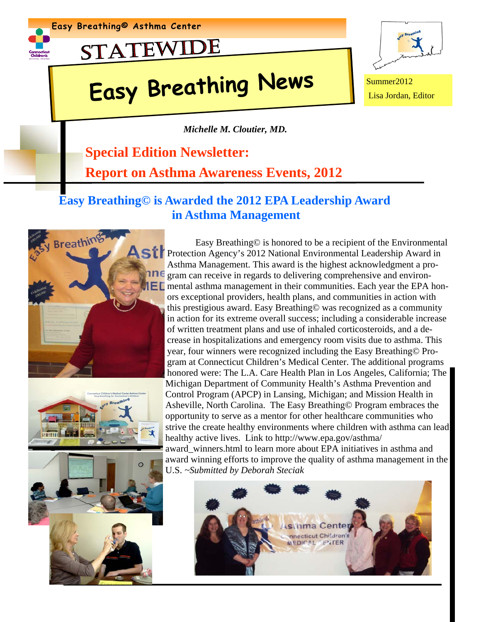





# **Easy Breathing News** Summer2012



Lisa Jordan, Editor

*Michelle M. Cloutier, MD.* 

### **Special Edition Newsletter:**

**Report on Asthma Awareness Events, 2012**

#### **Easy Breathing© is Awarded the 2012 EPA Leadership Award in Asthma Management**







 Easy Breathing© is honored to be a recipient of the Environmental Strategiers Agency's 2012 National Environmental Leadership Award in Asthma Management. This award is the highest acknowledgment a pro**ne** gram can receive in regards to delivering comprehensive and environ- $\blacksquare$  mental asthma management in their communities. Each year the EPA honors exceptional providers, health plans, and communities in action with this prestigious award. Easy Breathing© was recognized as a community in action for its extreme overall success; including a considerable increase of written treatment plans and use of inhaled corticosteroids, and a decrease in hospitalizations and emergency room visits due to asthma. This year, four winners were recognized including the Easy Breathing© Program at Connecticut Children's Medical Center. The additional programs honored were: The L.A. Care Health Plan in Los Angeles, California; The Michigan Department of Community Health's Asthma Prevention and Control Program (APCP) in Lansing, Michigan; and Mission Health in Asheville, North Carolina. The Easy Breathing© Program embraces the opportunity to serve as a mentor for other healthcare communities who strive the create healthy environments where children with asthma can lead healthy active lives. Link to http://www.epa.gov/asthma/ award winners.html to learn more about EPA initiatives in asthma and award winning efforts to improve the quality of asthma management in the U.S. *~Submitted by Deborah Steciak* 

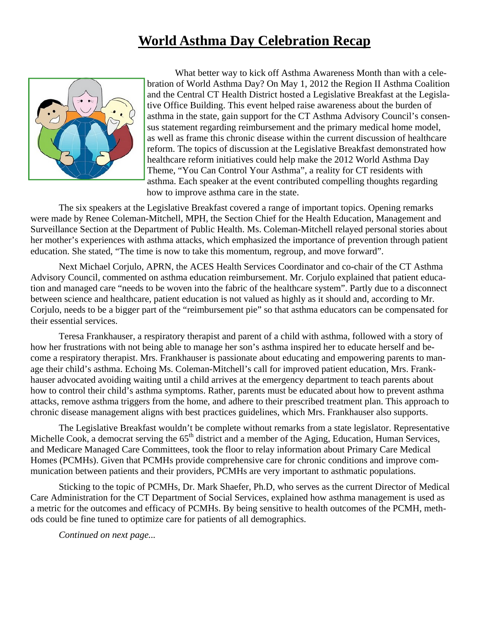#### **World Asthma Day Celebration Recap**



What better way to kick off Asthma Awareness Month than with a celebration of World Asthma Day? On May 1, 2012 the Region II Asthma Coalition and the Central CT Health District hosted a Legislative Breakfast at the Legislative Office Building. This event helped raise awareness about the burden of asthma in the state, gain support for the CT Asthma Advisory Council's consensus statement regarding reimbursement and the primary medical home model, as well as frame this chronic disease within the current discussion of healthcare reform. The topics of discussion at the Legislative Breakfast demonstrated how healthcare reform initiatives could help make the 2012 World Asthma Day Theme, "You Can Control Your Asthma", a reality for CT residents with asthma. Each speaker at the event contributed compelling thoughts regarding how to improve asthma care in the state.

 The six speakers at the Legislative Breakfast covered a range of important topics. Opening remarks were made by Renee Coleman-Mitchell, MPH, the Section Chief for the Health Education, Management and Surveillance Section at the Department of Public Health. Ms. Coleman-Mitchell relayed personal stories about her mother's experiences with asthma attacks, which emphasized the importance of prevention through patient education. She stated, "The time is now to take this momentum, regroup, and move forward".

Next Michael Corjulo, APRN, the ACES Health Services Coordinator and co-chair of the CT Asthma Advisory Council, commented on asthma education reimbursement. Mr. Corjulo explained that patient education and managed care "needs to be woven into the fabric of the healthcare system". Partly due to a disconnect between science and healthcare, patient education is not valued as highly as it should and, according to Mr. Corjulo, needs to be a bigger part of the "reimbursement pie" so that asthma educators can be compensated for their essential services.

Teresa Frankhauser, a respiratory therapist and parent of a child with asthma, followed with a story of how her frustrations with not being able to manage her son's asthma inspired her to educate herself and become a respiratory therapist. Mrs. Frankhauser is passionate about educating and empowering parents to manage their child's asthma. Echoing Ms. Coleman-Mitchell's call for improved patient education, Mrs. Frankhauser advocated avoiding waiting until a child arrives at the emergency department to teach parents about how to control their child's asthma symptoms. Rather, parents must be educated about how to prevent asthma attacks, remove asthma triggers from the home, and adhere to their prescribed treatment plan. This approach to chronic disease management aligns with best practices guidelines, which Mrs. Frankhauser also supports.

The Legislative Breakfast wouldn't be complete without remarks from a state legislator. Representative Michelle Cook, a democrat serving the  $65<sup>th</sup>$  district and a member of the Aging, Education, Human Services, and Medicare Managed Care Committees, took the floor to relay information about Primary Care Medical Homes (PCMHs). Given that PCMHs provide comprehensive care for chronic conditions and improve communication between patients and their providers, PCMHs are very important to asthmatic populations.

Sticking to the topic of PCMHs, Dr. Mark Shaefer, Ph.D, who serves as the current Director of Medical Care Administration for the CT Department of Social Services, explained how asthma management is used as a metric for the outcomes and efficacy of PCMHs. By being sensitive to health outcomes of the PCMH, methods could be fine tuned to optimize care for patients of all demographics.

*Continued on next page...*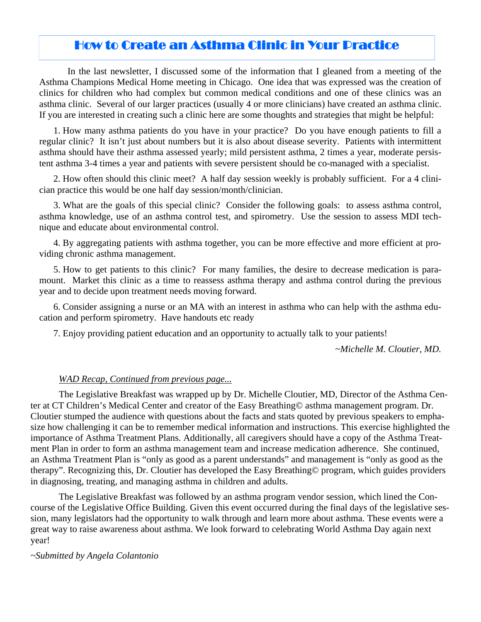#### How to Create an Asthma Clinic in Your Practice

In the last newsletter, I discussed some of the information that I gleaned from a meeting of the Asthma Champions Medical Home meeting in Chicago. One idea that was expressed was the creation of clinics for children who had complex but common medical conditions and one of these clinics was an asthma clinic. Several of our larger practices (usually 4 or more clinicians) have created an asthma clinic. If you are interested in creating such a clinic here are some thoughts and strategies that might be helpful:

1. How many asthma patients do you have in your practice? Do you have enough patients to fill a regular clinic? It isn't just about numbers but it is also about disease severity. Patients with intermittent asthma should have their asthma assessed yearly; mild persistent asthma, 2 times a year, moderate persistent asthma 3-4 times a year and patients with severe persistent should be co-managed with a specialist.

2. How often should this clinic meet? A half day session weekly is probably sufficient. For a 4 clinician practice this would be one half day session/month/clinician.

3. What are the goals of this special clinic? Consider the following goals: to assess asthma control, asthma knowledge, use of an asthma control test, and spirometry. Use the session to assess MDI technique and educate about environmental control.

4. By aggregating patients with asthma together, you can be more effective and more efficient at providing chronic asthma management.

5. How to get patients to this clinic? For many families, the desire to decrease medication is paramount. Market this clinic as a time to reassess asthma therapy and asthma control during the previous year and to decide upon treatment needs moving forward.

6. Consider assigning a nurse or an MA with an interest in asthma who can help with the asthma education and perform spirometry. Have handouts etc ready

7. Enjoy providing patient education and an opportunity to actually talk to your patients!

*~Michelle M. Cloutier, MD.*

#### *WAD Recap, Continued from previous page...*

The Legislative Breakfast was wrapped up by Dr. Michelle Cloutier, MD, Director of the Asthma Center at CT Children's Medical Center and creator of the Easy Breathing© asthma management program. Dr. Cloutier stumped the audience with questions about the facts and stats quoted by previous speakers to emphasize how challenging it can be to remember medical information and instructions. This exercise highlighted the importance of Asthma Treatment Plans. Additionally, all caregivers should have a copy of the Asthma Treatment Plan in order to form an asthma management team and increase medication adherence. She continued, an Asthma Treatment Plan is "only as good as a parent understands" and management is "only as good as the therapy". Recognizing this, Dr. Cloutier has developed the Easy Breathing© program, which guides providers in diagnosing, treating, and managing asthma in children and adults.

 The Legislative Breakfast was followed by an asthma program vendor session, which lined the Concourse of the Legislative Office Building. Given this event occurred during the final days of the legislative session, many legislators had the opportunity to walk through and learn more about asthma. These events were a great way to raise awareness about asthma. We look forward to celebrating World Asthma Day again next year!

*~Submitted by Angela Colantonio*